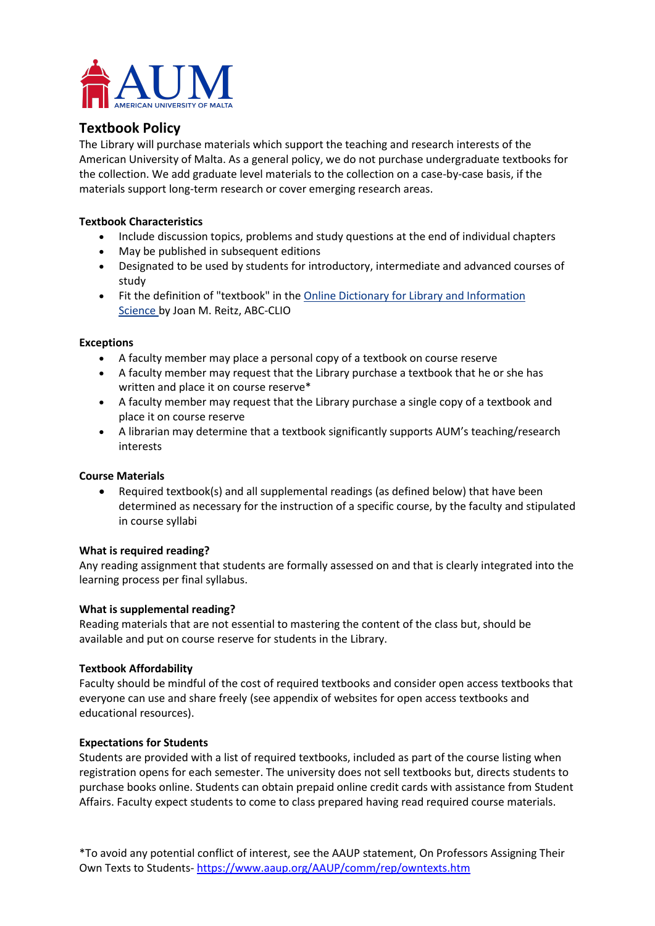

# **Textbook Policy**

The Library will purchase materials which support the teaching and research interests of the American University of Malta. As a general policy, we do not purchase undergraduate textbooks for the collection. We add graduate level materials to the collection on a case-by-case basis, if the materials support long-term research or cover emerging research areas.

#### **Textbook Characteristics**

- Include discussion topics, problems and study questions at the end of individual chapters
- May be published in subsequent editions
- Designated to be used by students for introductory, intermediate and advanced courses of study
- Fit the definition of "textbook" in the [Online Dictionary for Library and Information](https://www.abc-clio.com/ODLIS/odlis_t.aspx) [Science](https://www.abc-clio.com/ODLIS/odlis_t.aspx) by Joan M. Reitz, ABC-CLIO

#### **Exceptions**

- A faculty member may place a personal copy of a textbook on course reserve
- A faculty member may request that the Library purchase a textbook that he or she has written and place it on course reserve\*
- A faculty member may request that the Library purchase a single copy of a textbook and place it on course reserve
- A librarian may determine that a textbook significantly supports AUM's teaching/research interests

#### **Course Materials**

• Required textbook(s) and all supplemental readings (as defined below) that have been determined as necessary for the instruction of a specific course, by the faculty and stipulated in course syllabi

#### **What is required reading?**

Any reading assignment that students are formally assessed on and that is clearly integrated into the learning process per final syllabus.

#### **What is supplemental reading?**

Reading materials that are not essential to mastering the content of the class but, should be available and put on course reserve for students in the Library.

#### **Textbook Affordability**

Faculty should be mindful of the cost of required textbooks and consider open access textbooks that everyone can use and share freely (see appendix of websites for open access textbooks and educational resources).

#### **Expectations for Students**

Students are provided with a list of required textbooks, included as part of the course listing when registration opens for each semester. The university does not sell textbooks but, directs students to purchase books online. Students can obtain prepaid online credit cards with assistance from Student Affairs. Faculty expect students to come to class prepared having read required course materials.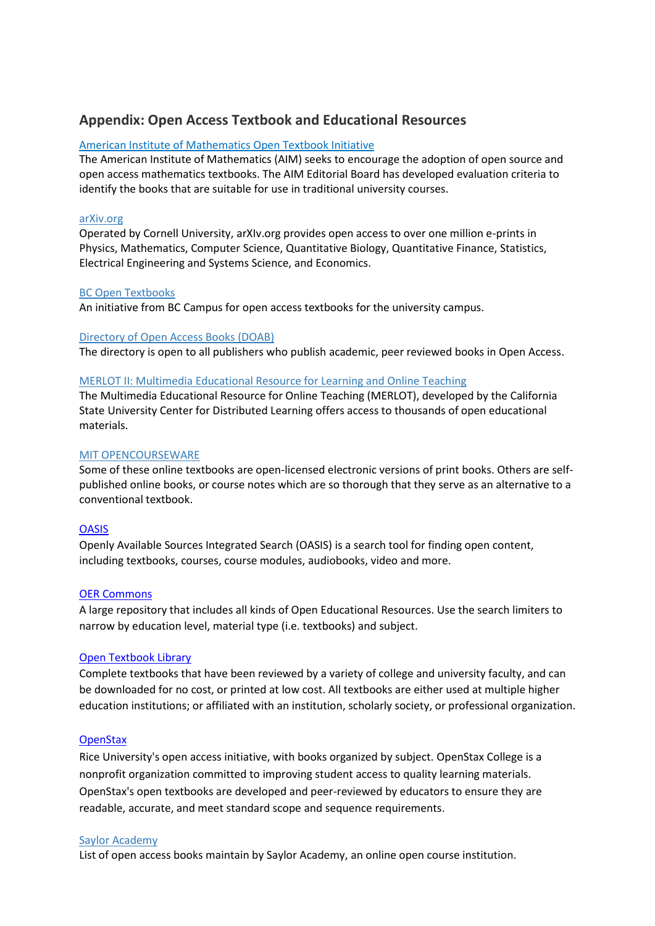# **Appendix: Open Access Textbook and Educational Resources**

#### [American Institute of Mathematics Open Textbook Initiative](https://aimath.org/textbooks/)

The American Institute of Mathematics (AIM) seeks to encourage the adoption of open source and open access mathematics textbooks. The AIM Editorial Board has developed evaluation criteria to identify the books that are suitable for use in traditional university courses.

#### [arXiv.org](https://arxiv.org/)

Operated by Cornell University, arXIv.org provides open access to over one million e-prints in Physics, Mathematics, Computer Science, Quantitative Biology, Quantitative Finance, Statistics, Electrical Engineering and Systems Science, and Economics.

#### [BC Open Textbooks](https://open.bccampus.ca/find-open-textbooks/)

An initiative from BC Campus for open access textbooks for the university campus.

#### [Directory of Open Access Books \(DOAB\)](https://www.doabooks.org/doab?func=subject&uiLanguage=en)

The directory is open to all publishers who publish academic, peer reviewed books in Open Access.

#### [MERLOT II: Multimedia Educational Resource for Learning and Online Teaching](https://www.merlot.org/merlot/index.htm?action=find)

The Multimedia Educational Resource for Online Teaching (MERLOT), developed by the California State University Center for Distributed Learning offers access to thousands of open educational materials.

#### [MIT OPENCOURSEWARE](https://ocw.mit.edu/courses/online-textbooks/)

Some of these online textbooks are open-licensed electronic versions of print books. Others are selfpublished online books, or course notes which are so thorough that they serve as an alternative to a conventional textbook.

#### **[OASIS](https://oasis.geneseo.edu/index.php)**

Openly Available Sources Integrated Search (OASIS) is a search tool for finding open content, including textbooks, courses, course modules, audiobooks, video and more.

#### [OER Commons](https://www.oercommons.org/)

A large repository that includes all kinds of Open Educational Resources. Use the search limiters to narrow by education level, material type (i.e. textbooks) and subject.

#### [Open Textbook Library](http://open.umn.edu/opentextbooks/)

Complete textbooks that have been reviewed by a variety of college and university faculty, and can be downloaded for no cost, or printed at low cost. All textbooks are either used at multiple higher education institutions; or affiliated with an institution, scholarly society, or professional organization.

#### **[OpenStax](https://openstax.org/subjects)**

Rice University's open access initiative, with books organized by subject. OpenStax College is a nonprofit organization committed to improving student access to quality learning materials. OpenStax's open textbooks are developed and peer-reviewed by educators to ensure they are readable, accurate, and meet standard scope and sequence requirements.

#### Saylor [Academy](http://www.saylor.org/books/)

List of open access books maintain by Saylor Academy, an online open course institution.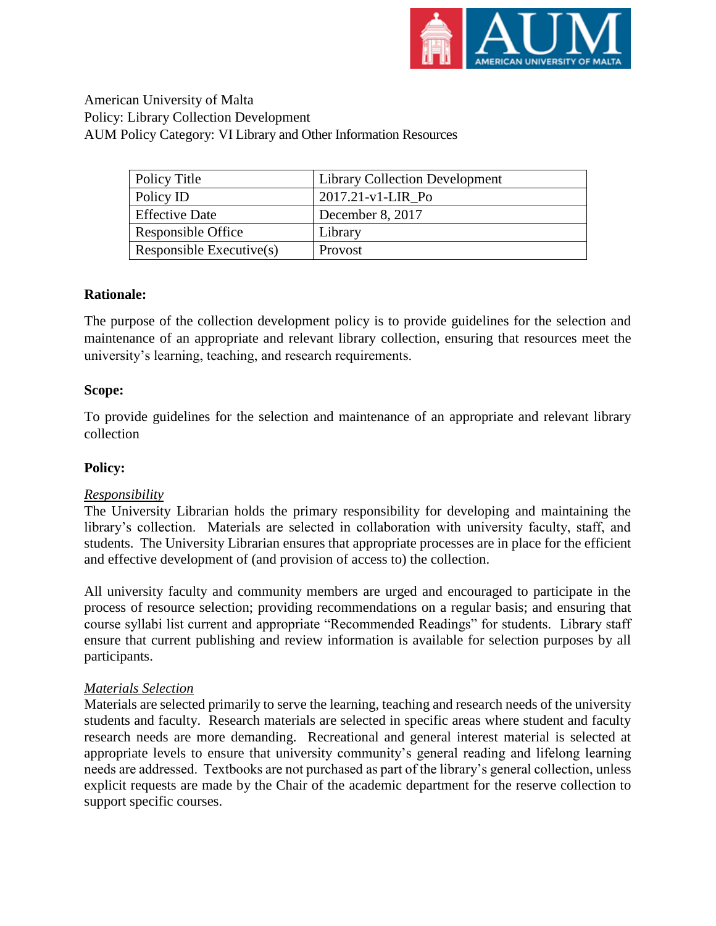

American University of Malta Policy: Library Collection Development AUM Policy Category: VI Library and Other Information Resources

| Policy Title                | <b>Library Collection Development</b> |
|-----------------------------|---------------------------------------|
| Policy ID                   | $2017.21-v1-LIR$ Po                   |
| <b>Effective Date</b>       | December 8, 2017                      |
| Responsible Office          | Library                               |
| Responsible Executive $(s)$ | Provost                               |

## **Rationale:**

The purpose of the collection development policy is to provide guidelines for the selection and maintenance of an appropriate and relevant library collection, ensuring that resources meet the university's learning, teaching, and research requirements.

## **Scope:**

To provide guidelines for the selection and maintenance of an appropriate and relevant library collection

## **Policy:**

## *Responsibility*

The University Librarian holds the primary responsibility for developing and maintaining the library's collection. Materials are selected in collaboration with university faculty, staff, and students. The University Librarian ensures that appropriate processes are in place for the efficient and effective development of (and provision of access to) the collection.

All university faculty and community members are urged and encouraged to participate in the process of resource selection; providing recommendations on a regular basis; and ensuring that course syllabi list current and appropriate "Recommended Readings" for students. Library staff ensure that current publishing and review information is available for selection purposes by all participants.

## *Materials Selection*

Materials are selected primarily to serve the learning, teaching and research needs of the university students and faculty. Research materials are selected in specific areas where student and faculty research needs are more demanding. Recreational and general interest material is selected at appropriate levels to ensure that university community's general reading and lifelong learning needs are addressed. Textbooks are not purchased as part of the library's general collection, unless explicit requests are made by the Chair of the academic department for the reserve collection to support specific courses.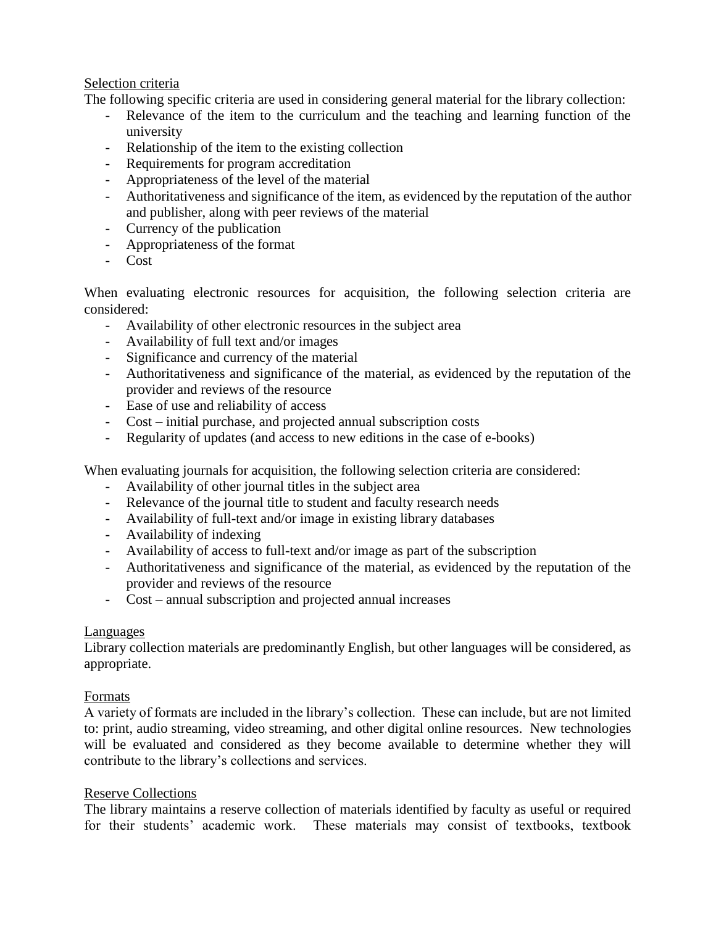## Selection criteria

The following specific criteria are used in considering general material for the library collection:

- Relevance of the item to the curriculum and the teaching and learning function of the university
- Relationship of the item to the existing collection
- Requirements for program accreditation
- Appropriateness of the level of the material
- Authoritativeness and significance of the item, as evidenced by the reputation of the author and publisher, along with peer reviews of the material
- Currency of the publication
- Appropriateness of the format
- Cost

When evaluating electronic resources for acquisition, the following selection criteria are considered:

- Availability of other electronic resources in the subject area
- Availability of full text and/or images
- Significance and currency of the material
- Authoritativeness and significance of the material, as evidenced by the reputation of the provider and reviews of the resource
- Ease of use and reliability of access
- Cost initial purchase, and projected annual subscription costs
- Regularity of updates (and access to new editions in the case of e-books)

When evaluating journals for acquisition, the following selection criteria are considered:

- Availability of other journal titles in the subject area
- Relevance of the journal title to student and faculty research needs
- Availability of full-text and/or image in existing library databases
- Availability of indexing
- Availability of access to full-text and/or image as part of the subscription
- Authoritativeness and significance of the material, as evidenced by the reputation of the provider and reviews of the resource
- Cost annual subscription and projected annual increases

## Languages

Library collection materials are predominantly English, but other languages will be considered, as appropriate.

## Formats

A variety of formats are included in the library's collection. These can include, but are not limited to: print, audio streaming, video streaming, and other digital online resources. New technologies will be evaluated and considered as they become available to determine whether they will contribute to the library's collections and services.

## Reserve Collections

The library maintains a reserve collection of materials identified by faculty as useful or required for their students' academic work. These materials may consist of textbooks, textbook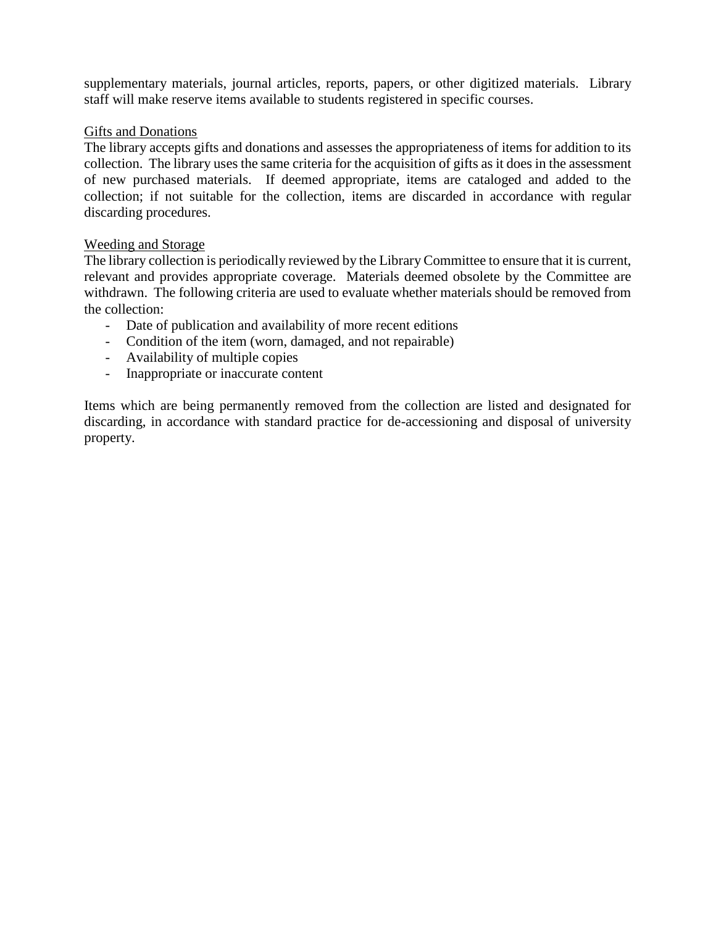supplementary materials, journal articles, reports, papers, or other digitized materials. Library staff will make reserve items available to students registered in specific courses.

## Gifts and Donations

The library accepts gifts and donations and assesses the appropriateness of items for addition to its collection. The library uses the same criteria for the acquisition of gifts as it does in the assessment of new purchased materials. If deemed appropriate, items are cataloged and added to the collection; if not suitable for the collection, items are discarded in accordance with regular discarding procedures.

## Weeding and Storage

The library collection is periodically reviewed by the Library Committee to ensure that it is current, relevant and provides appropriate coverage. Materials deemed obsolete by the Committee are withdrawn. The following criteria are used to evaluate whether materials should be removed from the collection:

- Date of publication and availability of more recent editions
- Condition of the item (worn, damaged, and not repairable)
- Availability of multiple copies
- Inappropriate or inaccurate content

Items which are being permanently removed from the collection are listed and designated for discarding, in accordance with standard practice for de-accessioning and disposal of university property.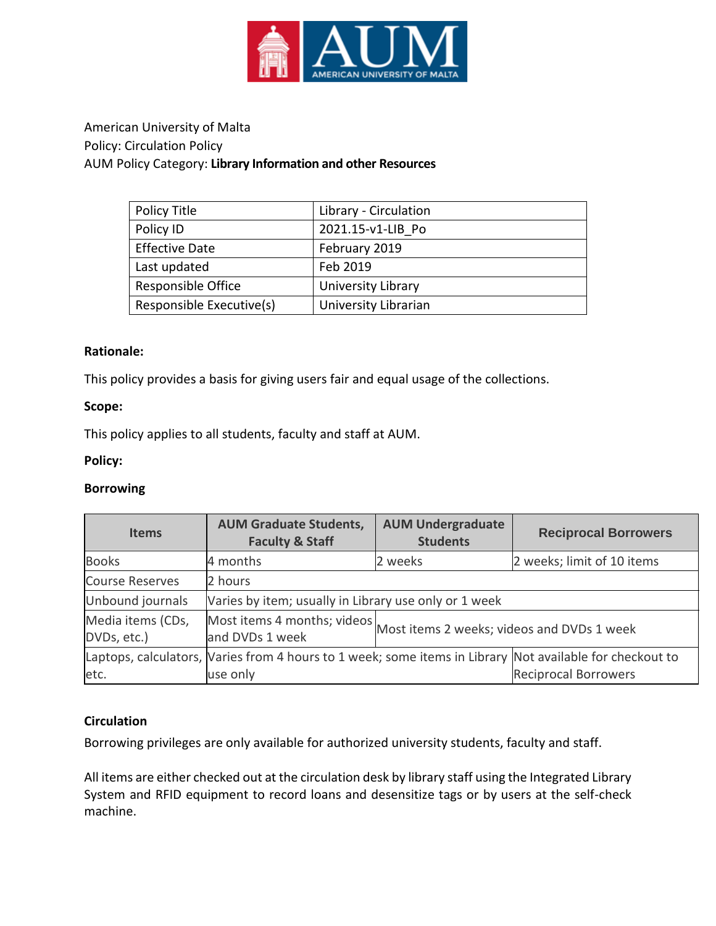

# American University of Malta Policy: Circulation Policy AUM Policy Category: **Library Information and other Resources**

| Policy Title             | Library - Circulation |
|--------------------------|-----------------------|
| Policy ID                | 2021.15-v1-LIB Po     |
| <b>Effective Date</b>    | February 2019         |
| Last updated             | Feb 2019              |
| Responsible Office       | University Library    |
| Responsible Executive(s) | University Librarian  |

## **Rationale:**

This policy provides a basis for giving users fair and equal usage of the collections.

## **Scope:**

This policy applies to all students, faculty and staff at AUM.

## **Policy:**

## **Borrowing**

| <b>Items</b>                     | <b>AUM Graduate Students,</b><br><b>Faculty &amp; Staff</b>                                              | <b>AUM Undergraduate</b><br><b>Students</b> | <b>Reciprocal Borrowers</b> |  |
|----------------------------------|----------------------------------------------------------------------------------------------------------|---------------------------------------------|-----------------------------|--|
| <b>Books</b>                     | 4 months                                                                                                 | 2 weeks                                     | 2 weeks; limit of 10 items  |  |
| <b>Course Reserves</b>           | 2 hours                                                                                                  |                                             |                             |  |
| Unbound journals                 | Varies by item; usually in Library use only or 1 week                                                    |                                             |                             |  |
| Media items (CDs,<br>DVDs, etc.) | Most items 4 months; videos<br>and DVDs 1 week                                                           | Most items 2 weeks; videos and DVDs 1 week  |                             |  |
|                                  | Laptops, calculators, Varies from 4 hours to 1 week; some items in Library Not available for checkout to |                                             |                             |  |
| etc.                             | use only                                                                                                 |                                             | <b>Reciprocal Borrowers</b> |  |

# **Circulation**

Borrowing privileges are only available for authorized university students, faculty and staff.

All items are either checked out at the circulation desk by library staff using the Integrated Library System and RFID equipment to record loans and desensitize tags or by users at the self-check machine.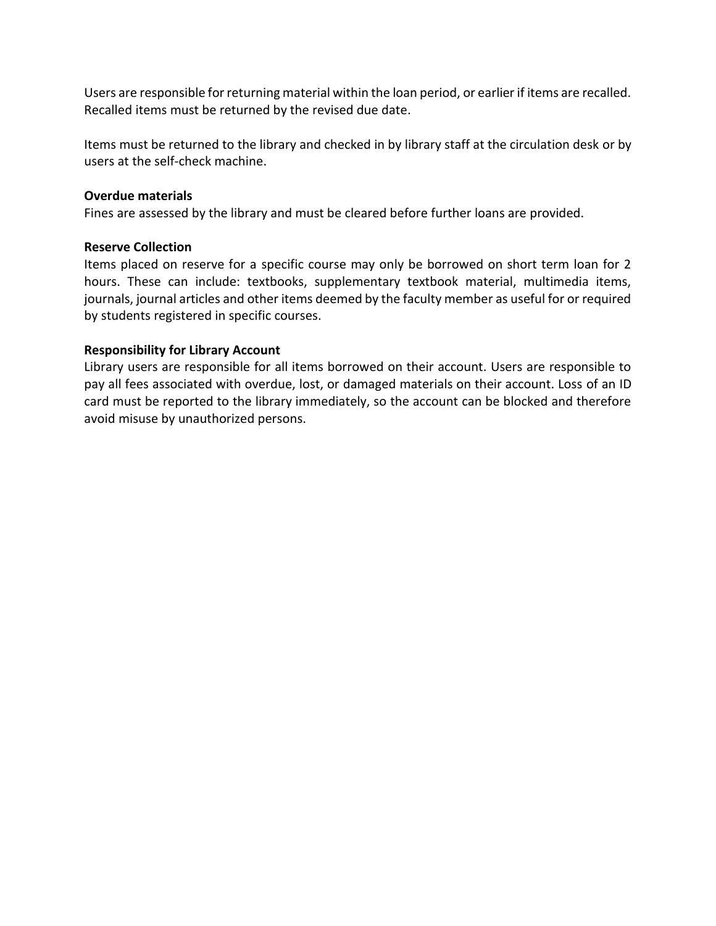Users are responsible for returning material within the loan period, or earlier if items are recalled. Recalled items must be returned by the revised due date.

Items must be returned to the library and checked in by library staff at the circulation desk or by users at the self-check machine.

## **Overdue materials**

Fines are assessed by the library and must be cleared before further loans are provided.

## **Reserve Collection**

Items placed on reserve for a specific course may only be borrowed on short term loan for 2 hours. These can include: textbooks, supplementary textbook material, multimedia items, journals, journal articles and other items deemed by the faculty member as useful for or required by students registered in specific courses.

## **Responsibility for Library Account**

Library users are responsible for all items borrowed on their account. Users are responsible to pay all fees associated with overdue, lost, or damaged materials on their account. Loss of an ID card must be reported to the library immediately, so the account can be blocked and therefore avoid misuse by unauthorized persons.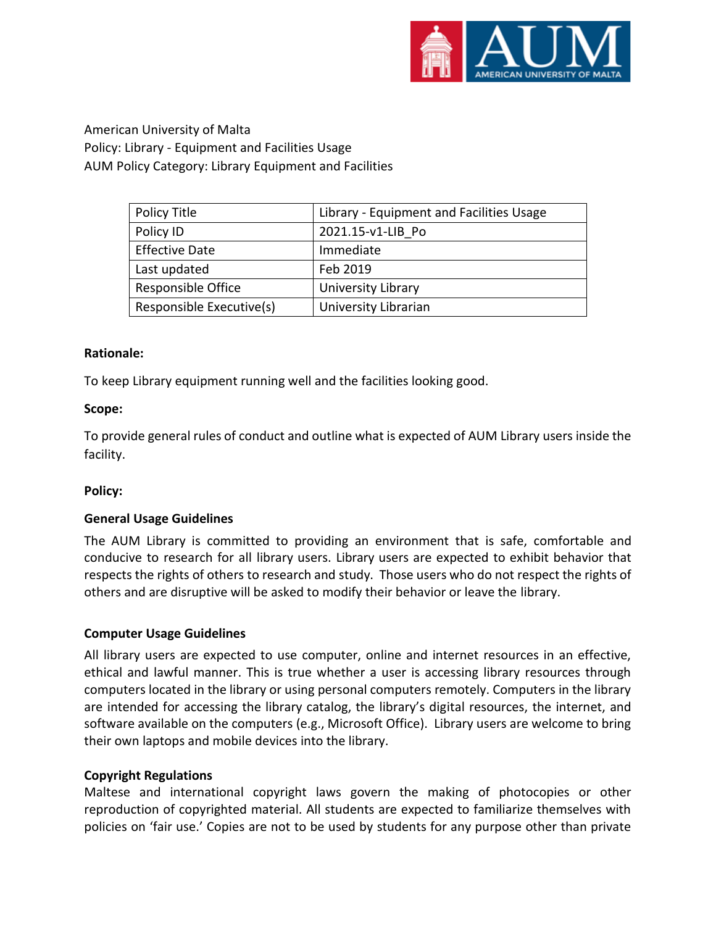

American University of Malta Policy: Library - Equipment and Facilities Usage AUM Policy Category: Library Equipment and Facilities

| Policy Title             | Library - Equipment and Facilities Usage |
|--------------------------|------------------------------------------|
| Policy ID                | 2021.15-v1-LIB Po                        |
| <b>Effective Date</b>    | Immediate                                |
| Last updated             | Feb 2019                                 |
| Responsible Office       | University Library                       |
| Responsible Executive(s) | University Librarian                     |

## **Rationale:**

To keep Library equipment running well and the facilities looking good.

## **Scope:**

To provide general rules of conduct and outline what is expected of AUM Library users inside the facility.

## **Policy:**

## **General Usage Guidelines**

The AUM Library is committed to providing an environment that is safe, comfortable and conducive to research for all library users. Library users are expected to exhibit behavior that respects the rights of others to research and study. Those users who do not respect the rights of others and are disruptive will be asked to modify their behavior or leave the library.

## **Computer Usage Guidelines**

All library users are expected to use computer, online and internet resources in an effective, ethical and lawful manner. This is true whether a user is accessing library resources through computers located in the library or using personal computers remotely. Computers in the library are intended for accessing the library catalog, the library's digital resources, the internet, and software available on the computers (e.g., Microsoft Office). Library users are welcome to bring their own laptops and mobile devices into the library.

## **Copyright Regulations**

Maltese and international copyright laws govern the making of photocopies or other reproduction of copyrighted material. All students are expected to familiarize themselves with policies on 'fair use.' Copies are not to be used by students for any purpose other than private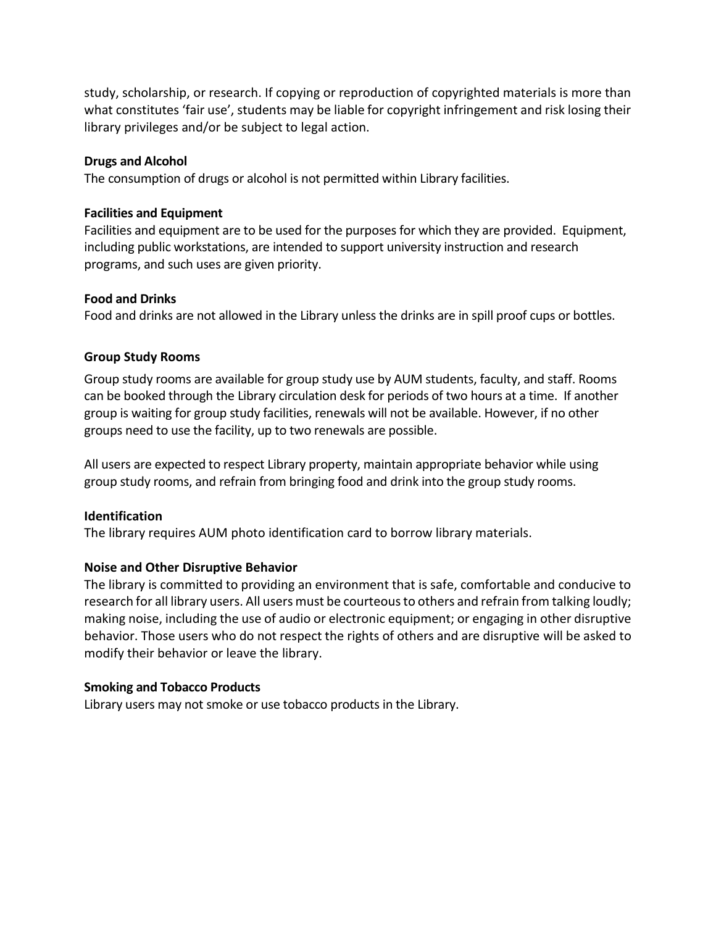study, scholarship, or research. If copying or reproduction of copyrighted materials is more than what constitutes 'fair use', students may be liable for copyright infringement and risk losing their library privileges and/or be subject to legal action.

## **Drugs and Alcohol**

The consumption of drugs or alcohol is not permitted within Library facilities.

#### **Facilities and Equipment**

Facilities and equipment are to be used for the purposes for which they are provided. Equipment, including public workstations, are intended to support university instruction and research programs, and such uses are given priority.

#### **Food and Drinks**

Food and drinks are not allowed in the Library unless the drinks are in spill proof cups or bottles.

## **Group Study Rooms**

Group study rooms are available for group study use by AUM students, faculty, and staff. Rooms can be booked through the Library circulation desk for periods of two hours at a time. If another group is waiting for group study facilities, renewals will not be available. However, if no other groups need to use the facility, up to two renewals are possible.

All users are expected to respect Library property, maintain appropriate behavior while using group study rooms, and refrain from bringing food and drink into the group study rooms.

## **Identification**

The library requires AUM photo identification card to borrow library materials.

## **Noise and Other Disruptive Behavior**

The library is committed to providing an environment that is safe, comfortable and conducive to research for all library users. All users must be courteous to others and refrain from talking loudly; making noise, including the use of audio or electronic equipment; or engaging in other disruptive behavior. Those users who do not respect the rights of others and are disruptive will be asked to modify their behavior or leave the library.

## **Smoking and Tobacco Products**

Library users may not smoke or use tobacco products in the Library.